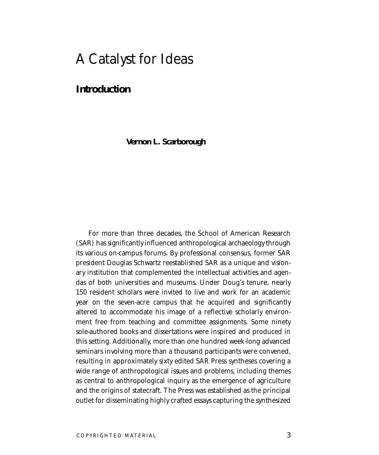# A Catalyst for Ideas

## **Introduction**

**Vernon L. Scarborough**

For more than three decades, the School of American Research (SAR) has significantly influenced anthropological archaeology through its various on-campus forums. By professional consensus, former SAR president Douglas Schwartz reestablished SAR as a unique and visionary institution that complemented the intellectual activities and agendas of both universities and museums. Under Doug's tenure, nearly 150 resident scholars were invited to live and work for an academic year on the seven-acre campus that he acquired and significantly altered to accommodate his image of a reflective scholarly environment free from teaching and committee assignments. Some ninety sole-authored books and dissertations were inspired and produced in this setting. Additionally, more than one hundred week-long advanced seminars involving more than a thousand participants were convened, resulting in approximately sixty edited SAR Press syntheses covering a wide range of anthropological issues and problems, including themes as central to anthropological inquiry as the emergence of agriculture and the origins of statecraft. The Press was established as the principal outlet for disseminating highly crafted essays capturing the synthesized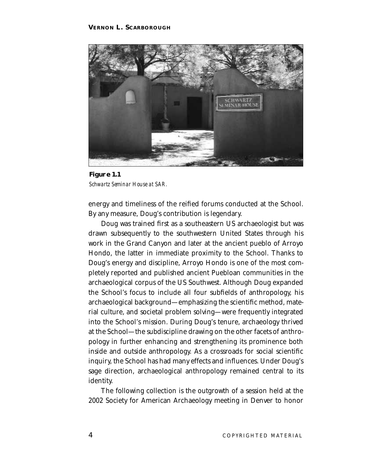

**Figure 1.1** *Schwartz Seminar House at SAR.*

energy and timeliness of the reified forums conducted at the School. By any measure, Doug's contribution is legendary.

Doug was trained first as a southeastern US archaeologist but was drawn subsequently to the southwestern United States through his work in the Grand Canyon and later at the ancient pueblo of Arroyo Hondo, the latter in immediate proximity to the School. Thanks to Doug's energy and discipline, Arroyo Hondo is one of the most completely reported and published ancient Puebloan communities in the archaeological corpus of the US Southwest. Although Doug expanded the School's focus to include all four subfields of anthropology, his archaeological background—emphasizing the scientific method, material culture, and societal problem solving—were frequently integrated into the School's mission. During Doug's tenure, archaeology thrived at the School—the subdiscipline drawing on the other facets of anthropology in further enhancing and strengthening its prominence both inside and outside anthropology. As a crossroads for social scientific inquiry, the School has had many effects and influences. Under Doug's sage direction, archaeological anthropology remained central to its identity.

The following collection is the outgrowth of a session held at the 2002 Society for American Archaeology meeting in Denver to honor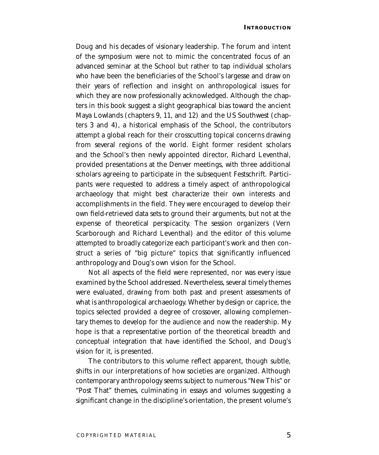Doug and his decades of visionary leadership. The forum and intent of the symposium were not to mimic the concentrated focus of an advanced seminar at the School but rather to tap individual scholars who have been the beneficiaries of the School's largesse and draw on their years of reflection and insight on anthropological issues for which they are now professionally acknowledged. Although the chapters in this book suggest a slight geographical bias toward the ancient Maya Lowlands (chapters 9, 11, and 12) and the US Southwest (chapters 3 and 4), a historical emphasis of the School, the contributors attempt a global reach for their crosscutting topical concerns drawing from several regions of the world. Eight former resident scholars and the School's then newly appointed director, Richard Leventhal, provided presentations at the Denver meetings, with three additional scholars agreeing to participate in the subsequent Festschrift. Participants were requested to address a timely aspect of anthropological archaeology that might best characterize their own interests and accomplishments in the field. They were encouraged to develop their own field-retrieved data sets to ground their arguments, but not at the expense of theoretical perspicacity. The session organizers (Vern Scarborough and Richard Leventhal) and the editor of this volume attempted to broadly categorize each participant's work and then construct a series of "big picture" topics that significantly influenced anthropology and Doug's own vision for the School.

Not all aspects of the field were represented, nor was every issue examined by the School addressed. Nevertheless, several timely themes were evaluated, drawing from both past and present assessments of what is anthropological archaeology. Whether by design or caprice, the topics selected provided a degree of crossover, allowing complementary themes to develop for the audience and now the readership. My hope is that a representative portion of the theoretical breadth and conceptual integration that have identified the School, and Doug's vision for it, is presented.

The contributors to this volume reflect apparent, though subtle, shifts in our interpretations of how societies are organized. Although contemporary anthropology seems subject to numerous "New This" or "Post That" themes, culminating in essays and volumes suggesting a significant change in the discipline's orientation, the present volume's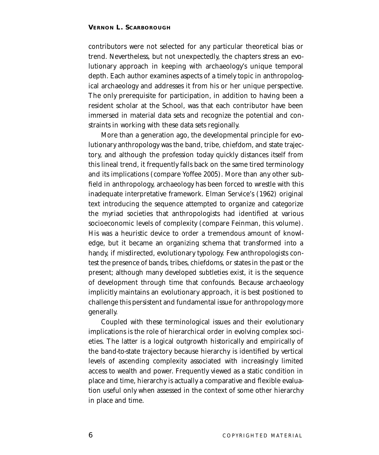contributors were not selected for any particular theoretical bias or trend. Nevertheless, but not unexpectedly, the chapters stress an evolutionary approach in keeping with archaeology's unique temporal depth. Each author examines aspects of a timely topic in anthropological archaeology and addresses it from his or her unique perspective. The only prerequisite for participation, in addition to having been a resident scholar at the School, was that each contributor have been immersed in material data sets and recognize the potential and constraints in working with these data sets regionally.

More than a generation ago, the developmental principle for evolutionary anthropology was the band, tribe, chiefdom, and state trajectory, and although the profession today quickly distances itself from this lineal trend, it frequently falls back on the same tired terminology and its implications (compare Yoffee 2005). More than any other subfield in anthropology, archaeology has been forced to wrestle with this inadequate interpretative framework. Elman Service's (1962) original text introducing the sequence attempted to organize and categorize the myriad societies that anthropologists had identified at various socioeconomic levels of complexity (compare Feinman, this volume). His was a heuristic device to order a tremendous amount of knowledge, but it became an organizing schema that transformed into a handy, if misdirected, evolutionary typology. Few anthropologists contest the presence of bands, tribes, chiefdoms, or states in the past or the present; although many developed subtleties exist, it is the sequence of development through time that confounds. Because archaeology implicitly maintains an evolutionary approach, it is best positioned to challenge this persistent and fundamental issue for anthropology more generally.

Coupled with these terminological issues and their evolutionary implications is the role of hierarchical order in evolving complex societies. The latter is a logical outgrowth historically and empirically of the band-to-state trajectory because hierarchy is identified by vertical levels of ascending complexity associated with increasingly limited access to wealth and power. Frequently viewed as a static condition in place and time, hierarchy is actually a comparative and flexible evaluation useful only when assessed in the context of some other hierarchy in place and time.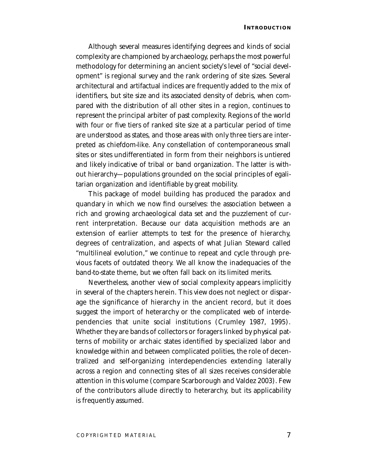Although several measures identifying degrees and kinds of social complexity are championed by archaeology, perhaps the most powerful methodology for determining an ancient society's level of "social development" is regional survey and the rank ordering of site sizes. Several architectural and artifactual indices are frequently added to the mix of identifiers, but site size and its associated density of debris, when compared with the distribution of all other sites in a region, continues to represent the principal arbiter of past complexity. Regions of the world with four or five tiers of ranked site size at a particular period of time are understood as states, and those areas with only three tiers are interpreted as chiefdom-like. Any constellation of contemporaneous small sites or sites undifferentiated in form from their neighbors is untiered and likely indicative of tribal or band organization. The latter is without hierarchy—populations grounded on the social principles of egalitarian organization and identifiable by great mobility.

This package of model building has produced the paradox and quandary in which we now find ourselves: the association between a rich and growing archaeological data set and the puzzlement of current interpretation. Because our data acquisition methods are an extension of earlier attempts to test for the presence of hierarchy, degrees of centralization, and aspects of what Julian Steward called "multilineal evolution," we continue to repeat and cycle through previous facets of outdated theory. We all know the inadequacies of the band-to-state theme, but we often fall back on its limited merits.

Nevertheless, another view of social complexity appears implicitly in several of the chapters herein. This view does not neglect or disparage the significance of hierarchy in the ancient record, but it does suggest the import of heterarchy or the complicated web of interdependencies that unite social institutions (Crumley 1987, 1995). Whether they are bands of collectors or foragers linked by physical patterns of mobility or archaic states identified by specialized labor and knowledge within and between complicated polities, the role of decentralized and self-organizing interdependencies extending laterally across a region and connecting sites of all sizes receives considerable attention in this volume (compare Scarborough and Valdez 2003). Few of the contributors allude directly to heterarchy, but its applicability is frequently assumed.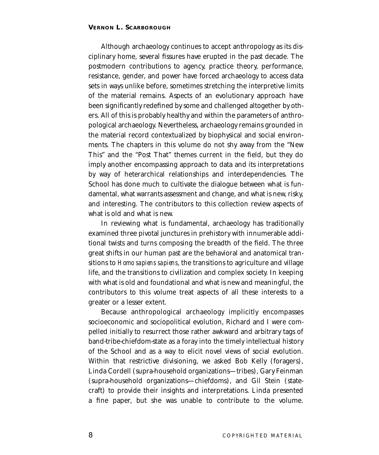Although archaeology continues to accept anthropology as its disciplinary home, several fissures have erupted in the past decade. The postmodern contributions to agency, practice theory, performance, resistance, gender, and power have forced archaeology to access data sets in ways unlike before, sometimes stretching the interpretive limits of the material remains. Aspects of an evolutionary approach have been significantly redefined by some and challenged altogether by others. All of this is probably healthy and within the parameters of anthropological archaeology. Nevertheless, archaeology remains grounded in the material record contextualized by biophysical and social environments. The chapters in this volume do not shy away from the "New This" and the "Post That" themes current in the field, but they do imply another encompassing approach to data and its interpretations by way of heterarchical relationships and interdependencies. The School has done much to cultivate the dialogue between what is fundamental, what warrants assessment and change, and what is new, risky, and interesting. The contributors to this collection review aspects of what is old and what is new.

In reviewing what is fundamental, archaeology has traditionally examined three pivotal junctures in prehistory with innumerable additional twists and turns composing the breadth of the field. The three great shifts in our human past are the behavioral and anatomical transitions to *Homo sapiens sapiens*, the transitions to agriculture and village life, and the transitions to civilization and complex society. In keeping with what is old and foundational and what is new and meaningful, the contributors to this volume treat aspects of all these interests to a greater or a lesser extent.

Because anthropological archaeology implicitly encompasses socioeconomic and sociopolitical evolution, Richard and I were compelled initially to resurrect those rather awkward and arbitrary tags of band-tribe-chiefdom-state as a foray into the timely intellectual history of the School and as a way to elicit novel views of social evolution. Within that restrictive divisioning, we asked Bob Kelly (foragers), Linda Cordell (supra-household organizations—tribes), Gary Feinman (supra-household organizations—chiefdoms), and Gil Stein (statecraft) to provide their insights and interpretations. Linda presented a fine paper, but she was unable to contribute to the volume.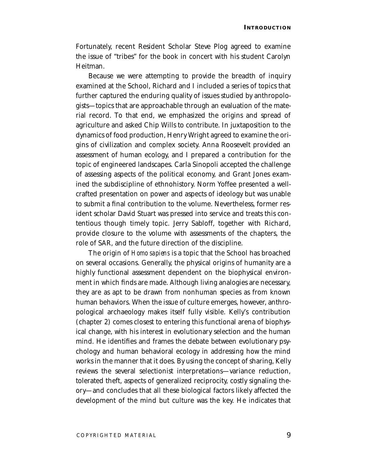Fortunately, recent Resident Scholar Steve Plog agreed to examine the issue of "tribes" for the book in concert with his student Carolyn Heitman.

Because we were attempting to provide the breadth of inquiry examined at the School, Richard and I included a series of topics that further captured the enduring quality of issues studied by anthropologists—topics that are approachable through an evaluation of the material record. To that end, we emphasized the origins and spread of agriculture and asked Chip Wills to contribute. In juxtaposition to the dynamics of food production, Henry Wright agreed to examine the origins of civilization and complex society. Anna Roosevelt provided an assessment of human ecology, and I prepared a contribution for the topic of engineered landscapes. Carla Sinopoli accepted the challenge of assessing aspects of the political economy, and Grant Jones examined the subdiscipline of ethnohistory. Norm Yoffee presented a wellcrafted presentation on power and aspects of ideology but was unable to submit a final contribution to the volume. Nevertheless, former resident scholar David Stuart was pressed into service and treats this contentious though timely topic. Jerry Sabloff, together with Richard, provide closure to the volume with assessments of the chapters, the role of SAR, and the future direction of the discipline.

The origin of *Homo sapiens* is a topic that the School has broached on several occasions. Generally, the physical origins of humanity are a highly functional assessment dependent on the biophysical environment in which finds are made. Although living analogies are necessary, they are as apt to be drawn from nonhuman species as from known human behaviors. When the issue of culture emerges, however, anthropological archaeology makes itself fully visible. Kelly's contribution (chapter 2) comes closest to entering this functional arena of biophysical change, with his interest in evolutionary selection and the human mind. He identifies and frames the debate between evolutionary psychology and human behavioral ecology in addressing how the mind works in the manner that it does. By using the concept of sharing, Kelly reviews the several selectionist interpretations—variance reduction, tolerated theft, aspects of generalized reciprocity, costly signaling theory—and concludes that all these biological factors likely affected the development of the mind but culture was the key. He indicates that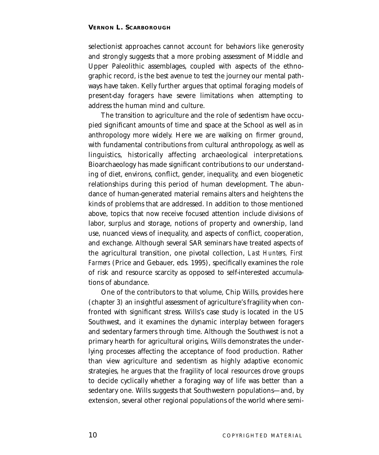selectionist approaches cannot account for behaviors like generosity and strongly suggests that a more probing assessment of Middle and Upper Paleolithic assemblages, coupled with aspects of the ethnographic record, is the best avenue to test the journey our mental pathways have taken. Kelly further argues that optimal foraging models of present-day foragers have severe limitations when attempting to address the human mind and culture.

The transition to agriculture and the role of sedentism have occupied significant amounts of time and space at the School as well as in anthropology more widely. Here we are walking on firmer ground, with fundamental contributions from cultural anthropology, as well as linguistics, historically affecting archaeological interpretations. Bioarchaeology has made significant contributions to our understanding of diet, environs, conflict, gender, inequality, and even biogenetic relationships during this period of human development. The abundance of human-generated material remains alters and heightens the kinds of problems that are addressed. In addition to those mentioned above, topics that now receive focused attention include divisions of labor, surplus and storage, notions of property and ownership, land use, nuanced views of inequality, and aspects of conflict, cooperation, and exchange. Although several SAR seminars have treated aspects of the agricultural transition, one pivotal collection, *Last Hunters, First Farmers* (Price and Gebauer, eds. 1995), specifically examines the role of risk and resource scarcity as opposed to self-interested accumulations of abundance.

One of the contributors to that volume, Chip Wills, provides here (chapter 3) an insightful assessment of agriculture's fragility when confronted with significant stress. Wills's case study is located in the US Southwest, and it examines the dynamic interplay between foragers and sedentary farmers through time. Although the Southwest is not a primary hearth for agricultural origins, Wills demonstrates the underlying processes affecting the acceptance of food production. Rather than view agriculture and sedentism as highly adaptive economic strategies, he argues that the fragility of local resources drove groups to decide cyclically whether a foraging way of life was better than a sedentary one. Wills suggests that Southwestern populations—and, by extension, several other regional populations of the world where semi-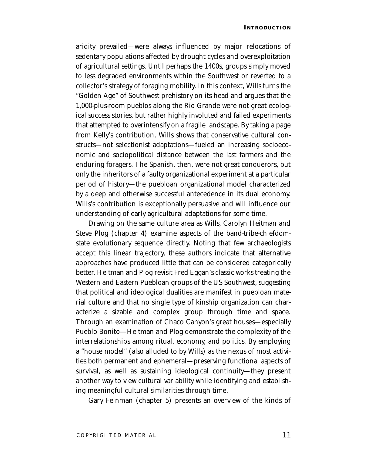aridity prevailed—were always influenced by major relocations of sedentary populations affected by drought cycles and overexploitation of agricultural settings. Until perhaps the 1400s, groups simply moved to less degraded environments within the Southwest or reverted to a collector's strategy of foraging mobility. In this context, Wills turns the "Golden Age" of Southwest prehistory on its head and argues that the 1,000-plus-room pueblos along the Rio Grande were not great ecological success stories, but rather highly involuted and failed experiments that attempted to overintensify on a fragile landscape. By taking a page from Kelly's contribution, Wills shows that conservative cultural constructs—not selectionist adaptations—fueled an increasing socioeconomic and sociopolitical distance between the last farmers and the enduring foragers. The Spanish, then, were not great conquerors, but only the inheritors of a faulty organizational experiment at a particular period of history—the puebloan organizational model characterized by a deep and otherwise successful antecedence in its dual economy. Wills's contribution is exceptionally persuasive and will influence our understanding of early agricultural adaptations for some time.

Drawing on the same culture area as Wills, Carolyn Heitman and Steve Plog (chapter 4) examine aspects of the band-tribe-chiefdomstate evolutionary sequence directly. Noting that few archaeologists accept this linear trajectory, these authors indicate that alternative approaches have produced little that can be considered categorically better. Heitman and Plog revisit Fred Eggan's classic works treating the Western and Eastern Puebloan groups of the US Southwest, suggesting that political and ideological dualities are manifest in puebloan material culture and that no single type of kinship organization can characterize a sizable and complex group through time and space. Through an examination of Chaco Canyon's great houses—especially Pueblo Bonito—Heitman and Plog demonstrate the complexity of the interrelationships among ritual, economy, and politics. By employing a "house model" (also alluded to by Wills) as the nexus of most activities both permanent and ephemeral—preserving functional aspects of survival, as well as sustaining ideological continuity—they present another way to view cultural variability while identifying and establishing meaningful cultural similarities through time.

Gary Feinman (chapter 5) presents an overview of the kinds of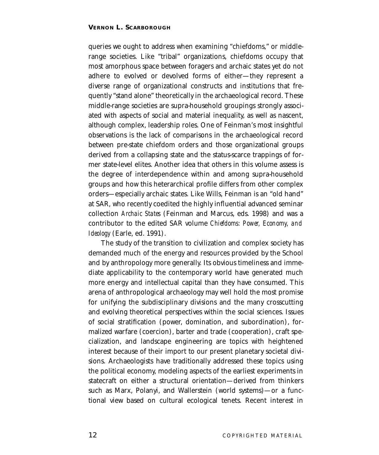queries we ought to address when examining "chiefdoms," or middlerange societies. Like "tribal" organizations, chiefdoms occupy that most amorphous space between foragers and archaic states yet do not adhere to evolved or devolved forms of either—they represent a diverse range of organizational constructs and institutions that frequently "stand alone" theoretically in the archaeological record. These middle-range societies are supra-household groupings strongly associated with aspects of social and material inequality, as well as nascent, although complex, leadership roles. One of Feinman's most insightful observations is the lack of comparisons in the archaeological record between pre-state chiefdom orders and those organizational groups derived from a collapsing state and the status-scarce trappings of former state-level elites. Another idea that others in this volume assess is the degree of interdependence within and among supra-household groups and how this heterarchical profile differs from other complex orders—especially archaic states. Like Wills, Feinman is an "old hand" at SAR, who recently coedited the highly influential advanced seminar collection *Archaic States* (Feinman and Marcus, eds. 1998) and was a contributor to the edited SAR volume *Chiefdoms: Power, Economy, and Ideology* (Earle, ed. 1991).

The study of the transition to civilization and complex society has demanded much of the energy and resources provided by the School and by anthropology more generally. Its obvious timeliness and immediate applicability to the contemporary world have generated much more energy and intellectual capital than they have consumed. This arena of anthropological archaeology may well hold the most promise for unifying the subdisciplinary divisions and the many crosscutting and evolving theoretical perspectives within the social sciences. Issues of social stratification (power, domination, and subordination), formalized warfare (coercion), barter and trade (cooperation), craft specialization, and landscape engineering are topics with heightened interest because of their import to our present planetary societal divisions. Archaeologists have traditionally addressed these topics using the political economy, modeling aspects of the earliest experiments in statecraft on either a structural orientation—derived from thinkers such as Marx, Polanyi, and Wallerstein (world systems)—or a functional view based on cultural ecological tenets. Recent interest in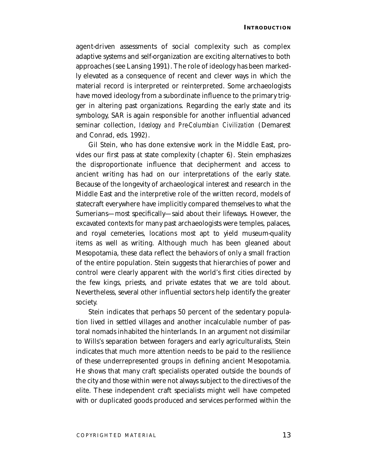agent-driven assessments of social complexity such as complex adaptive systems and self-organization are exciting alternatives to both approaches (see Lansing 1991). The role of ideology has been markedly elevated as a consequence of recent and clever ways in which the material record is interpreted or reinterpreted. Some archaeologists have moved ideology from a subordinate influence to the primary trigger in altering past organizations. Regarding the early state and its symbology, SAR is again responsible for another influential advanced seminar collection, *Ideology and Pre-Columbian Civilization* (Demarest and Conrad, eds. 1992).

Gil Stein, who has done extensive work in the Middle East, provides our first pass at state complexity (chapter 6). Stein emphasizes the disproportionate influence that decipherment and access to ancient writing has had on our interpretations of the early state. Because of the longevity of archaeological interest and research in the Middle East and the interpretive role of the written record, models of statecraft everywhere have implicitly compared themselves to what the Sumerians—most specifically—said about their lifeways. However, the excavated contexts for many past archaeologists were temples, palaces, and royal cemeteries, locations most apt to yield museum-quality items as well as writing. Although much has been gleaned about Mesopotamia, these data reflect the behaviors of only a small fraction of the entire population. Stein suggests that hierarchies of power and control were clearly apparent with the world's first cities directed by the few kings, priests, and private estates that we are told about. Nevertheless, several other influential sectors help identify the greater society.

Stein indicates that perhaps 50 percent of the sedentary population lived in settled villages and another incalculable number of pastoral nomads inhabited the hinterlands. In an argument not dissimilar to Wills's separation between foragers and early agriculturalists, Stein indicates that much more attention needs to be paid to the resilience of these underrepresented groups in defining ancient Mesopotamia. He shows that many craft specialists operated outside the bounds of the city and those within were not always subject to the directives of the elite. These independent craft specialists might well have competed with or duplicated goods produced and services performed within the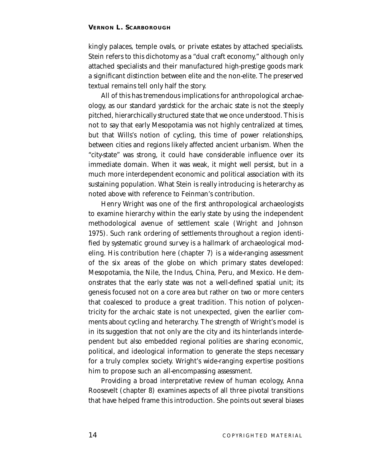kingly palaces, temple ovals, or private estates by attached specialists. Stein refers to this dichotomy as a "dual craft economy," although only attached specialists and their manufactured high-prestige goods mark a significant distinction between elite and the non-elite. The preserved textual remains tell only half the story.

All of this has tremendous implications for anthropological archaeology, as our standard yardstick for the archaic state is not the steeply pitched, hierarchically structured state that we once understood. This is not to say that early Mesopotamia was not highly centralized at times, but that Wills's notion of cycling, this time of power relationships, between cities and regions likely affected ancient urbanism. When the "city-state" was strong, it could have considerable influence over its immediate domain. When it was weak, it might well persist, but in a much more interdependent economic and political association with its sustaining population. What Stein is really introducing is heterarchy as noted above with reference to Feinman's contribution.

Henry Wright was one of the first anthropological archaeologists to examine hierarchy within the early state by using the independent methodological avenue of settlement scale (Wright and Johnson 1975). Such rank ordering of settlements throughout a region identified by systematic ground survey is a hallmark of archaeological modeling. His contribution here (chapter 7) is a wide-ranging assessment of the six areas of the globe on which primary states developed: Mesopotamia, the Nile, the Indus, China, Peru, and Mexico. He demonstrates that the early state was not a well-defined spatial unit; its genesis focused not on a core area but rather on two or more centers that coalesced to produce a great tradition. This notion of polycentricity for the archaic state is not unexpected, given the earlier comments about cycling and heterarchy. The strength of Wright's model is in its suggestion that not only are the city and its hinterlands interdependent but also embedded regional polities are sharing economic, political, and ideological information to generate the steps necessary for a truly complex society. Wright's wide-ranging expertise positions him to propose such an all-encompassing assessment.

Providing a broad interpretative review of human ecology, Anna Roosevelt (chapter 8) examines aspects of all three pivotal transitions that have helped frame this introduction. She points out several biases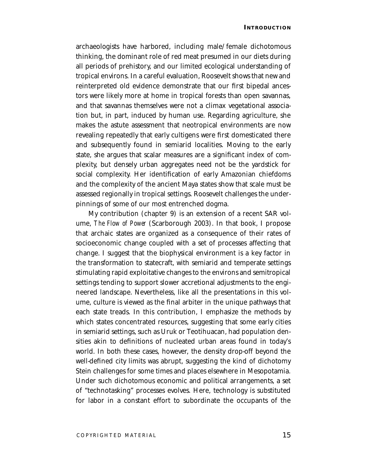archaeologists have harbored, including male/female dichotomous thinking, the dominant role of red meat presumed in our diets during all periods of prehistory, and our limited ecological understanding of tropical environs. In a careful evaluation, Roosevelt shows that new and reinterpreted old evidence demonstrate that our first bipedal ancestors were likely more at home in tropical forests than open savannas, and that savannas themselves were not a climax vegetational association but, in part, induced by human use. Regarding agriculture, she makes the astute assessment that neotropical environments are now revealing repeatedly that early cultigens were first domesticated there and subsequently found in semiarid localities. Moving to the early state, she argues that scalar measures are a significant index of complexity, but densely urban aggregates need not be the yardstick for social complexity. Her identification of early Amazonian chiefdoms and the complexity of the ancient Maya states show that scale must be assessed regionally in tropical settings. Roosevelt challenges the underpinnings of some of our most entrenched dogma.

My contribution (chapter 9) is an extension of a recent SAR volume, *The Flow of Power* (Scarborough 2003). In that book, I propose that archaic states are organized as a consequence of their rates of socioeconomic change coupled with a set of processes affecting that change. I suggest that the biophysical environment is a key factor in the transformation to statecraft, with semiarid and temperate settings stimulating rapid exploitative changes to the environs and semitropical settings tending to support slower accretional adjustments to the engineered landscape. Nevertheless, like all the presentations in this volume, culture is viewed as the final arbiter in the unique pathways that each state treads. In this contribution, I emphasize the methods by which states concentrated resources, suggesting that some early cities in semiarid settings, such as Uruk or Teotihuacan, had population densities akin to definitions of nucleated urban areas found in today's world. In both these cases, however, the density drop-off beyond the well-defined city limits was abrupt, suggesting the kind of dichotomy Stein challenges for some times and places elsewhere in Mesopotamia. Under such dichotomous economic and political arrangements, a set of "technotasking" processes evolves. Here, technology is substituted for labor in a constant effort to subordinate the occupants of the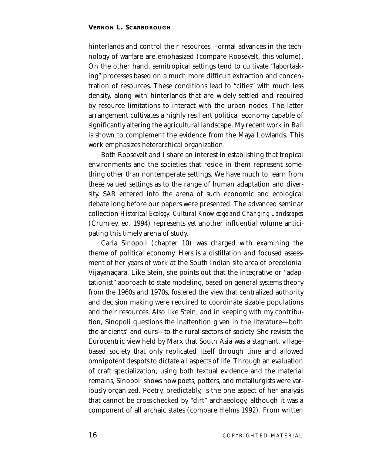hinterlands and control their resources. Formal advances in the technology of warfare are emphasized (compare Roosevelt, this volume). On the other hand, semitropical settings tend to cultivate "labortasking" processes based on a much more difficult extraction and concentration of resources. These conditions lead to "cities" with much less density, along with hinterlands that are widely settled and required by resource limitations to interact with the urban nodes. The latter arrangement cultivates a highly resilient political economy capable of significantly altering the agricultural landscape. My recent work in Bali is shown to complement the evidence from the Maya Lowlands. This work emphasizes heterarchical organization.

Both Roosevelt and I share an interest in establishing that tropical environments and the societies that reside in them represent something other than nontemperate settings. We have much to learn from these valued settings as to the range of human adaptation and diversity. SAR entered into the arena of such economic and ecological debate long before our papers were presented. The advanced seminar collection *Historical Ecology: Cultural Knowledge and Changing Landscapes* (Crumley, ed. 1994) represents yet another influential volume anticipating this timely arena of study.

Carla Sinopoli (chapter 10) was charged with examining the theme of political economy. Hers is a distillation and focused assessment of her years of work at the South Indian site area of precolonial Vijayanagara. Like Stein, she points out that the integrative or "adaptationist" approach to state modeling, based on general systems theory from the 1960s and 1970s, fostered the view that centralized authority and decision making were required to coordinate sizable populations and their resources. Also like Stein, and in keeping with my contribution, Sinopoli questions the inattention given in the literature—both the ancients' and ours—to the rural sectors of society. She revisits the Eurocentric view held by Marx that South Asia was a stagnant, villagebased society that only replicated itself through time and allowed omnipotent despots to dictate all aspects of life. Through an evaluation of craft specialization, using both textual evidence and the material remains, Sinopoli shows how poets, potters, and metallurgists were variously organized. Poetry, predictably, is the one aspect of her analysis that cannot be cross-checked by "dirt" archaeology, although it was a component of all archaic states (compare Helms 1992). From written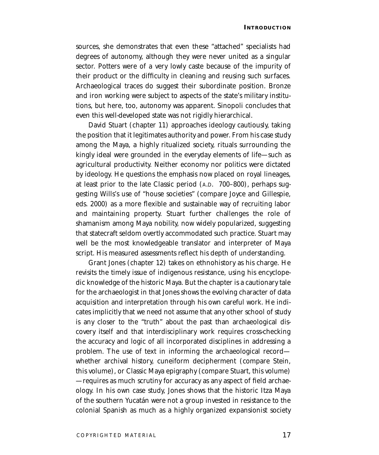sources, she demonstrates that even these "attached" specialists had degrees of autonomy, although they were never united as a singular sector. Potters were of a very lowly caste because of the impurity of their product or the difficulty in cleaning and reusing such surfaces. Archaeological traces do suggest their subordinate position. Bronze and iron working were subject to aspects of the state's military institutions, but here, too, autonomy was apparent. Sinopoli concludes that even this well-developed state was not rigidly hierarchical.

David Stuart (chapter 11) approaches ideology cautiously, taking the position that it legitimates authority and power. From his case study among the Maya, a highly ritualized society, rituals surrounding the kingly ideal were grounded in the everyday elements of life—such as agricultural productivity. Neither economy nor politics were dictated by ideology. He questions the emphasis now placed on royal lineages, at least prior to the late Classic period (A.D. 700–800), perhaps suggesting Wills's use of "house societies" (compare Joyce and Gillespie, eds. 2000) as a more flexible and sustainable way of recruiting labor and maintaining property. Stuart further challenges the role of shamanism among Maya nobility, now widely popularized, suggesting that statecraft seldom overtly accommodated such practice. Stuart may well be the most knowledgeable translator and interpreter of Maya script. His measured assessments reflect his depth of understanding.

Grant Jones (chapter 12) takes on ethnohistory as his charge. He revisits the timely issue of indigenous resistance, using his encyclopedic knowledge of the historic Maya. But the chapter is a cautionary tale for the archaeologist in that Jones shows the evolving character of data acquisition and interpretation through his own careful work. He indicates implicitly that we need not assume that any other school of study is any closer to the "truth" about the past than archaeological discovery itself and that interdisciplinary work requires cross-checking the accuracy and logic of all incorporated disciplines in addressing a problem. The use of text in informing the archaeological record whether archival history, cuneiform decipherment (compare Stein, this volume), or Classic Maya epigraphy (compare Stuart, this volume) —requires as much scrutiny for accuracy as any aspect of field archaeology. In his own case study, Jones shows that the historic Itza Maya of the southern Yucatán were not a group invested in resistance to the colonial Spanish as much as a highly organized expansionist society